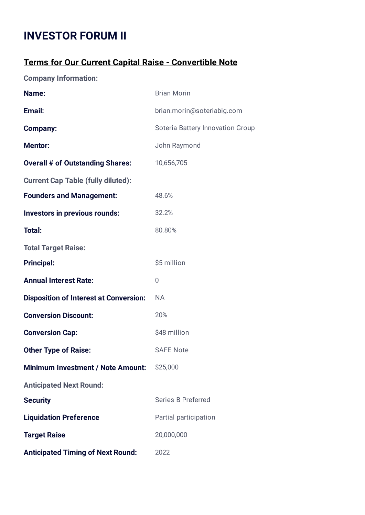## **INVESTOR FORUM II**

## **Terms for Our Current Capital Raise - Convertible Note**

**Company Information:**

| Name:                                         | <b>Brian Morin</b>               |  |  |  |
|-----------------------------------------------|----------------------------------|--|--|--|
| Email:                                        | brian.morin@soteriabig.com       |  |  |  |
| <b>Company:</b>                               | Soteria Battery Innovation Group |  |  |  |
| <b>Mentor:</b>                                | John Raymond                     |  |  |  |
| <b>Overall # of Outstanding Shares:</b>       | 10,656,705                       |  |  |  |
| <b>Current Cap Table (fully diluted):</b>     |                                  |  |  |  |
| <b>Founders and Management:</b>               | 48.6%                            |  |  |  |
| <b>Investors in previous rounds:</b>          | 32.2%                            |  |  |  |
| <b>Total:</b>                                 | 80.80%                           |  |  |  |
| <b>Total Target Raise:</b>                    |                                  |  |  |  |
| <b>Principal:</b>                             | \$5 million                      |  |  |  |
| <b>Annual Interest Rate:</b>                  | 0                                |  |  |  |
| <b>Disposition of Interest at Conversion:</b> | <b>NA</b>                        |  |  |  |
| <b>Conversion Discount:</b>                   | 20%                              |  |  |  |
| <b>Conversion Cap:</b>                        | \$48 million                     |  |  |  |
| <b>Other Type of Raise:</b>                   | <b>SAFE Note</b>                 |  |  |  |
| <b>Minimum Investment / Note Amount:</b>      | \$25,000                         |  |  |  |
| <b>Anticipated Next Round:</b>                |                                  |  |  |  |
| <b>Security</b>                               | <b>Series B Preferred</b>        |  |  |  |
| <b>Liquidation Preference</b>                 | Partial participation            |  |  |  |
| <b>Target Raise</b>                           | 20,000,000                       |  |  |  |
| <b>Anticipated Timing of Next Round:</b>      | 2022                             |  |  |  |